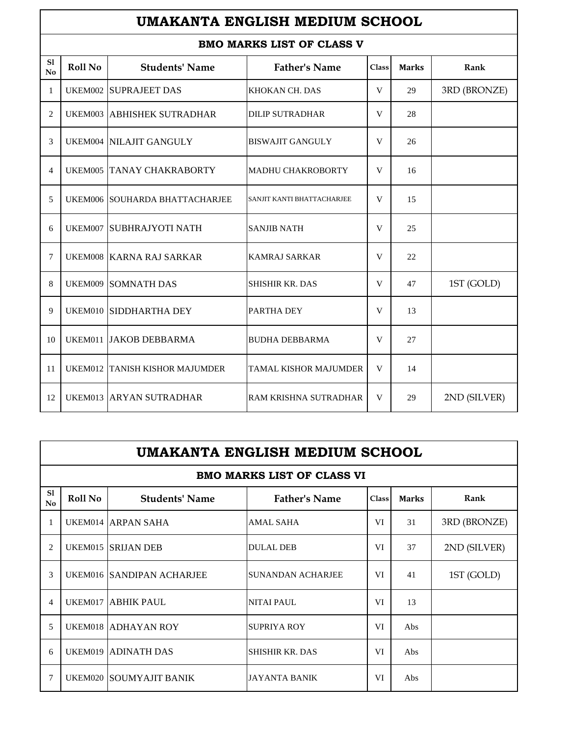## **UMAKANTA ENGLISH MEDIUM SCHOOL**

## **BMO MARKS LIST OF CLASS V**

|                              | BMU MARAS LISI UF CLASS V |                                  |                              |              |              |              |  |  |
|------------------------------|---------------------------|----------------------------------|------------------------------|--------------|--------------|--------------|--|--|
| S1<br>$\mathbf{N}\mathbf{0}$ | Roll No                   | <b>Students' Name</b>            | <b>Father's Name</b>         | <b>Class</b> | <b>Marks</b> | Rank         |  |  |
| 1                            |                           | <b>UKEM002 SUPRAJEET DAS</b>     | KHOKAN CH. DAS               | V            | 29           | 3RD (BRONZE) |  |  |
| 2                            | UKEM003                   | <b>ABHISHEK SUTRADHAR</b>        | <b>DILIP SUTRADHAR</b>       | V            | 28           |              |  |  |
| 3                            |                           | UKEM004 NILAJIT GANGULY          | <b>BISWAJIT GANGULY</b>      | V            | 26           |              |  |  |
| 4                            |                           | <b>UKEM005 TANAY CHAKRABORTY</b> | <b>MADHU CHAKROBORTY</b>     | V            | 16           |              |  |  |
| 5                            |                           | UKEM006 SOUHARDA BHATTACHARJEE   | SANJIT KANTI BHATTACHARJEE   | V            | 15           |              |  |  |
| 6                            | UKEM007                   | <b>SUBHRAJYOTI NATH</b>          | <b>SANJIB NATH</b>           | V            | 25           |              |  |  |
| 7                            |                           | UKEM008 KARNA RAJ SARKAR         | <b>KAMRAJ SARKAR</b>         | V            | 22           |              |  |  |
| 8                            |                           | <b>UKEM009 SOMNATH DAS</b>       | <b>SHISHIR KR. DAS</b>       | V            | 47           | 1ST (GOLD)   |  |  |
| 9                            |                           | UKEM010 SIDDHARTHA DEY           | PARTHA DEY                   | V            | 13           |              |  |  |
| 10                           |                           | UKEM011 JAKOB DEBBARMA           | <b>BUDHA DEBBARMA</b>        | V            | 27           |              |  |  |
| 11                           |                           | UKEM012 TANISH KISHOR MAJUMDER   | <b>TAMAL KISHOR MAJUMDER</b> | V            | 14           |              |  |  |
| 12                           |                           | UKEM013 ARYAN SUTRADHAR          | RAM KRISHNA SUTRADHAR        | V            | 29           | 2ND (SILVER) |  |  |

|          | UMAKANTA ENGLISH MEDIUM SCHOOL |                           |                                   |              |              |              |  |
|----------|--------------------------------|---------------------------|-----------------------------------|--------------|--------------|--------------|--|
|          |                                |                           | <b>BMO MARKS LIST OF CLASS VI</b> |              |              |              |  |
| S1<br>No | Roll No                        | <b>Students' Name</b>     | <b>Father's Name</b>              | <b>Class</b> | <b>Marks</b> | Rank         |  |
| 1        |                                | UKEM014 ARPAN SAHA        | <b>AMAL SAHA</b>                  | VI           | 31           | 3RD (BRONZE) |  |
| 2        |                                | UKEM015 SRIJAN DEB        | <b>DULAL DEB</b>                  | VI           | 37           | 2ND (SILVER) |  |
| 3        |                                | UKEM016 SANDIPAN ACHARJEE | <b>SUNANDAN ACHARJEE</b>          | VI           | 41           | 1ST (GOLD)   |  |
| 4        | UKEM017                        | <b>ABHIK PAUL</b>         | <b>NITAI PAUL</b>                 | VI           | 13           |              |  |
| 5        |                                | UKEM018 ADHAYAN ROY       | <b>SUPRIYA ROY</b>                | VI           | Abs          |              |  |
| 6        | UKEM019                        | <b>ADINATH DAS</b>        | <b>SHISHIR KR. DAS</b>            | VI           | Abs          |              |  |
| 7        |                                | UKEM020 SOUMYAJIT BANIK   | <b>JAYANTA BANIK</b>              | VI           | Abs          |              |  |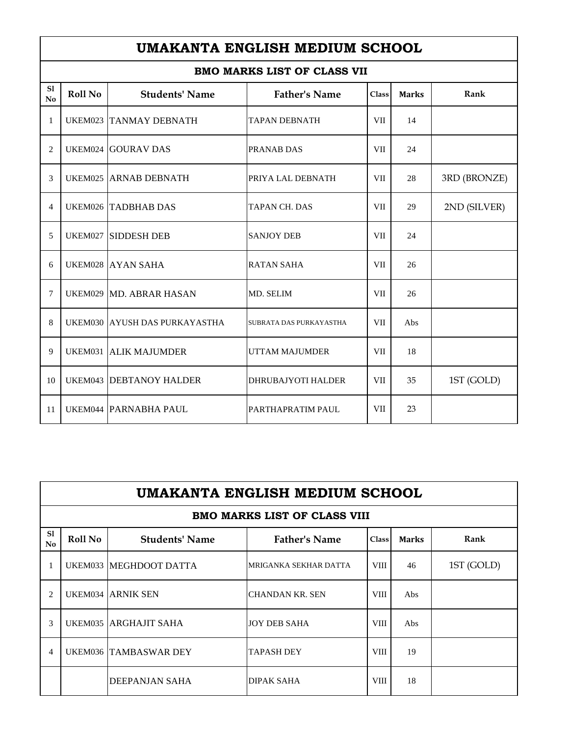|                              | UMAKANTA ENGLISH MEDIUM SCHOOL     |                                |                           |            |              |              |  |  |
|------------------------------|------------------------------------|--------------------------------|---------------------------|------------|--------------|--------------|--|--|
|                              | <b>BMO MARKS LIST OF CLASS VII</b> |                                |                           |            |              |              |  |  |
| S1<br>$\mathbf{N}\mathbf{o}$ | Roll No                            | <b>Students' Name</b>          | <b>Father's Name</b>      | Class      | <b>Marks</b> | Rank         |  |  |
| 1                            |                                    | <b>UKEM023 TANMAY DEBNATH</b>  | <b>TAPAN DEBNATH</b>      | <b>VII</b> | 14           |              |  |  |
| $\overline{2}$               |                                    | <b>UKEM024 GOURAV DAS</b>      | PRANAB DAS                | VII        | 24           |              |  |  |
| 3                            |                                    | UKEM025 ARNAB DEBNATH          | PRIYA LAL DEBNATH         | <b>VII</b> | 28           | 3RD (BRONZE) |  |  |
| $\overline{4}$               |                                    | <b>UKEM026 TADBHAB DAS</b>     | <b>TAPAN CH. DAS</b>      | VII        | 29           | 2ND (SILVER) |  |  |
| 5                            |                                    | UKEM027 SIDDESH DEB            | <b>SANJOY DEB</b>         | <b>VII</b> | 24           |              |  |  |
| 6                            |                                    | UKEM028 AYAN SAHA              | <b>RATAN SAHA</b>         | VII        | 26           |              |  |  |
| $\overline{7}$               |                                    | UKEM029 MD. ABRAR HASAN        | MD. SELIM                 | VII        | 26           |              |  |  |
| 8                            |                                    | UKEM030 AYUSH DAS PURKAYASTHA  | SUBRATA DAS PURKAYASTHA   | <b>VII</b> | Abs          |              |  |  |
| 9                            |                                    | UKEM031 ALIK MAJUMDER          | UTTAM MAJUMDER            | VII        | 18           |              |  |  |
| 10                           |                                    | <b>UKEM043 DEBTANOY HALDER</b> | <b>DHRUBAJYOTI HALDER</b> | <b>VII</b> | 35           | 1ST (GOLD)   |  |  |
| 11                           |                                    | <b>UKEM044 PARNABHA PAUL</b>   | PARTHAPRATIM PAUL         | <b>VII</b> | 23           |              |  |  |

 $\mathbf{r}$ 

|          | UMAKANTA ENGLISH MEDIUM SCHOOL                                                                   |                              |                                     |             |     |            |  |  |  |
|----------|--------------------------------------------------------------------------------------------------|------------------------------|-------------------------------------|-------------|-----|------------|--|--|--|
|          |                                                                                                  |                              | <b>BMO MARKS LIST OF CLASS VIII</b> |             |     |            |  |  |  |
| S1<br>No | <b>Father's Name</b><br>Roll No<br><b>Students' Name</b><br>Rank<br><b>Marks</b><br><b>Class</b> |                              |                                     |             |     |            |  |  |  |
|          |                                                                                                  | UKEM033 MEGHDOOT DATTA       | MRIGANKA SEKHAR DATTA               | <b>VIII</b> | 46  | 1ST (GOLD) |  |  |  |
| 2        |                                                                                                  | <b>UKEM034 ARNIK SEN</b>     | <b>CHANDAN KR. SEN</b>              | <b>VIII</b> | Abs |            |  |  |  |
| 3        |                                                                                                  | UKEM035 ARGHAJIT SAHA        | <b>JOY DEB SAHA</b>                 | <b>VIII</b> | Abs |            |  |  |  |
| 4        |                                                                                                  | <b>UKEM036 TAMBASWAR DEY</b> | <b>TAPASH DEY</b>                   | <b>VIII</b> | 19  |            |  |  |  |
|          |                                                                                                  | <b>DEEPANJAN SAHA</b>        | DIPAK SAHA                          | <b>VIII</b> | 18  |            |  |  |  |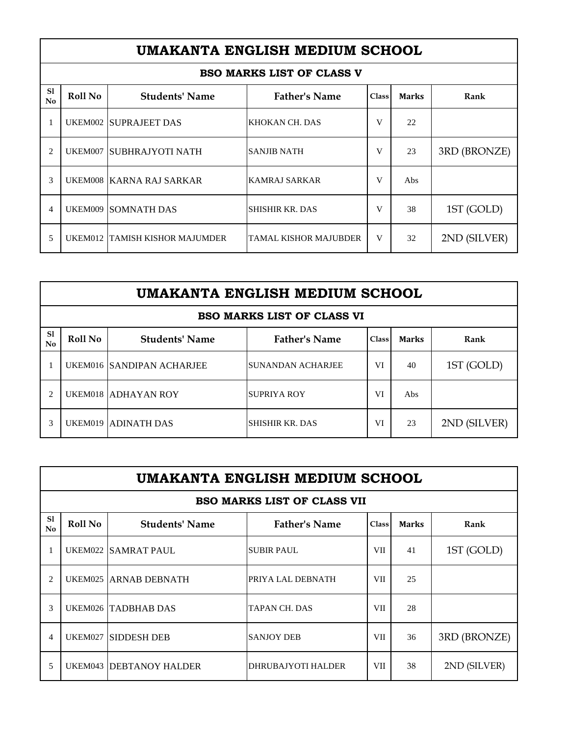|                                                                                                                     | UMAKANTA ENGLISH MEDIUM SCHOOL |                                |                                  |   |     |              |  |  |
|---------------------------------------------------------------------------------------------------------------------|--------------------------------|--------------------------------|----------------------------------|---|-----|--------------|--|--|
|                                                                                                                     |                                |                                | <b>BSO MARKS LIST OF CLASS V</b> |   |     |              |  |  |
| S1<br><b>Roll No</b><br><b>Father's Name</b><br><b>Students' Name</b><br><b>Marks</b><br>Rank<br><b>Class</b><br>No |                                |                                |                                  |   |     |              |  |  |
|                                                                                                                     |                                | UKEM002 SUPRAJEET DAS          | KHOKAN CH. DAS                   | V | 22  |              |  |  |
| 2                                                                                                                   |                                | UKEM007 ISUBHRAJYOTI NATH      | <b>SANJIB NATH</b>               | V | 23  | 3RD (BRONZE) |  |  |
| 3                                                                                                                   |                                | UKEM008 KARNA RAJ SARKAR       | <b>KAMRAJ SARKAR</b>             | V | Abs |              |  |  |
| 4                                                                                                                   |                                | <b>UKEM009 SOMNATH DAS</b>     | <b>SHISHIR KR. DAS</b>           | V | 38  | 1ST (GOLD)   |  |  |
| 5                                                                                                                   |                                | UKEM012 TAMISH KISHOR MAJUMDER | TAMAL KISHOR MAJUBDER            | V | 32  | 2ND (SILVER) |  |  |

|                                                                                                                     | UMAKANTA ENGLISH MEDIUM SCHOOL |                                  |                                   |    |     |              |  |  |  |
|---------------------------------------------------------------------------------------------------------------------|--------------------------------|----------------------------------|-----------------------------------|----|-----|--------------|--|--|--|
|                                                                                                                     |                                |                                  | <b>BSO MARKS LIST OF CLASS VI</b> |    |     |              |  |  |  |
| S1<br><b>Father's Name</b><br><b>Roll No</b><br><b>Students' Name</b><br>Rank<br><b>Marks</b><br><b>Class</b><br>No |                                |                                  |                                   |    |     |              |  |  |  |
|                                                                                                                     |                                | <b>UKEM016 SANDIPAN ACHARJEE</b> | SUNANDAN ACHARJEE                 | VI | 40  | 1ST (GOLD)   |  |  |  |
| $\overline{c}$                                                                                                      |                                | UKEM018 ADHAYAN ROY              | <b>SUPRIYA ROY</b>                | VI | Abs |              |  |  |  |
| 3                                                                                                                   |                                | UKEM019 ADINATH DAS              | SHISHIR KR. DAS                   | VI | 23  | 2ND (SILVER) |  |  |  |

|               | UMAKANTA ENGLISH MEDIUM SCHOOL                                                                          |                                |                                    |            |    |              |  |  |  |
|---------------|---------------------------------------------------------------------------------------------------------|--------------------------------|------------------------------------|------------|----|--------------|--|--|--|
|               |                                                                                                         |                                | <b>BSO MARKS LIST OF CLASS VII</b> |            |    |              |  |  |  |
| S1<br>No      | <b>Roll No</b><br><b>Father's Name</b><br><b>Students' Name</b><br><b>Marks</b><br>Rank<br><b>Class</b> |                                |                                    |            |    |              |  |  |  |
|               | UKEM022                                                                                                 | <b>SAMRAT PAUL</b>             | <b>SUBIR PAUL</b>                  | <b>VII</b> | 41 | 1ST (GOLD)   |  |  |  |
| 2             |                                                                                                         | UKEM025 ARNAB DEBNATH          | PRIYA LAL DEBNATH                  | <b>VII</b> | 25 |              |  |  |  |
| $\mathcal{F}$ |                                                                                                         | UKEM026 TADBHAB DAS            | TAPAN CH. DAS                      | <b>VII</b> | 28 |              |  |  |  |
| 4             | <b>UKEM027</b>                                                                                          | <b>SIDDESH DEB</b>             | <b>SANJOY DEB</b>                  | <b>VII</b> | 36 | 3RD (BRONZE) |  |  |  |
| 5             |                                                                                                         | <b>UKEM043 DEBTANOY HALDER</b> | <b>DHRUBAJYOTI HALDER</b>          | VII        | 38 | 2ND (SILVER) |  |  |  |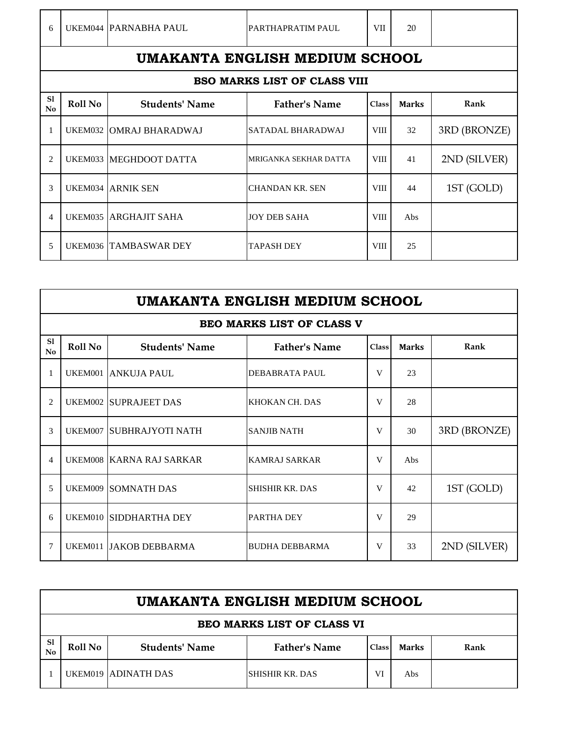|  | UKEM044 PARNABHA PAUL | PARTHAPRATIM PAUL |  |
|--|-----------------------|-------------------|--|

## **BSO MARKS LIST OF CLASS VIII**

|                 | BSO MARKS LIST OF CLASS VIII |                          |                          |              |              |              |  |  |
|-----------------|------------------------------|--------------------------|--------------------------|--------------|--------------|--------------|--|--|
| S1<br><b>No</b> | Roll No                      | <b>Students' Name</b>    | <b>Father's Name</b>     | <b>Class</b> | <b>Marks</b> | Rank         |  |  |
|                 |                              | UKEM032 OMRAJ BHARADWAJ  | <b>SATADAL BHARADWAJ</b> | VIII         | 32           | 3RD (BRONZE) |  |  |
| 2               |                              | UKEM033 MEGHDOOT DATTA   | MRIGANKA SEKHAR DATTA    | <b>VIII</b>  | 41           | 2ND (SILVER) |  |  |
| 3               |                              | <b>UKEM034 ARNIK SEN</b> | <b>CHANDAN KR. SEN</b>   | <b>VIII</b>  | 44           | 1ST (GOLD)   |  |  |
| 4               |                              | UKEM035 ARGHAJIT SAHA    | <b>JOY DEB SAHA</b>      | <b>VIII</b>  | Abs          |              |  |  |
| 5               |                              | UKEM036 TAMBASWAR DEY    | <b>TAPASH DEY</b>        | <b>VIII</b>  | 25           |              |  |  |

|          | UMAKANTA ENGLISH MEDIUM SCHOOL |                              |                                  |              |              |              |  |  |
|----------|--------------------------------|------------------------------|----------------------------------|--------------|--------------|--------------|--|--|
|          |                                |                              | <b>BEO MARKS LIST OF CLASS V</b> |              |              |              |  |  |
| S1<br>No | Roll No                        | <b>Students' Name</b>        | <b>Father's Name</b>             | <b>Class</b> | <b>Marks</b> | Rank         |  |  |
| 1        |                                | UKEM001 ANKUJA PAUL          | DEBABRATA PAUL                   | V            | 23           |              |  |  |
| 2        |                                | <b>UKEM002 SUPRAJEET DAS</b> | KHOKAN CH. DAS                   | V            | 28           |              |  |  |
| 3        |                                | UKEM007 SUBHRAJYOTI NATH     | <b>SANJIB NATH</b>               | V            | 30           | 3RD (BRONZE) |  |  |
| 4        |                                | UKEM008 KARNA RAJ SARKAR     | <b>KAMRAJ SARKAR</b>             | V            | Abs          |              |  |  |
| 5        |                                | <b>UKEM009 SOMNATH DAS</b>   | <b>SHISHIR KR. DAS</b>           | V            | 42           | 1ST (GOLD)   |  |  |
| 6        |                                | UKEM010 SIDDHARTHA DEY       | PARTHA DEY                       | V            | 29           |              |  |  |
| $\tau$   |                                | UKEM011 JAKOB DEBBARMA       | <b>BUDHA DEBBARMA</b>            | V            | 33           | 2ND (SILVER) |  |  |

|                                                      | UMAKANTA ENGLISH MEDIUM SCHOOL    |                       |                      |              |              |      |  |  |
|------------------------------------------------------|-----------------------------------|-----------------------|----------------------|--------------|--------------|------|--|--|
|                                                      | <b>BEO MARKS LIST OF CLASS VI</b> |                       |                      |              |              |      |  |  |
| -S1<br>No                                            | Roll No                           | <b>Students' Name</b> | <b>Father's Name</b> | <b>Class</b> | <b>Marks</b> | Rank |  |  |
| UKEM019 ADINATH DAS<br>ISHISHIR KR. DAS<br>VI<br>Abs |                                   |                       |                      |              |              |      |  |  |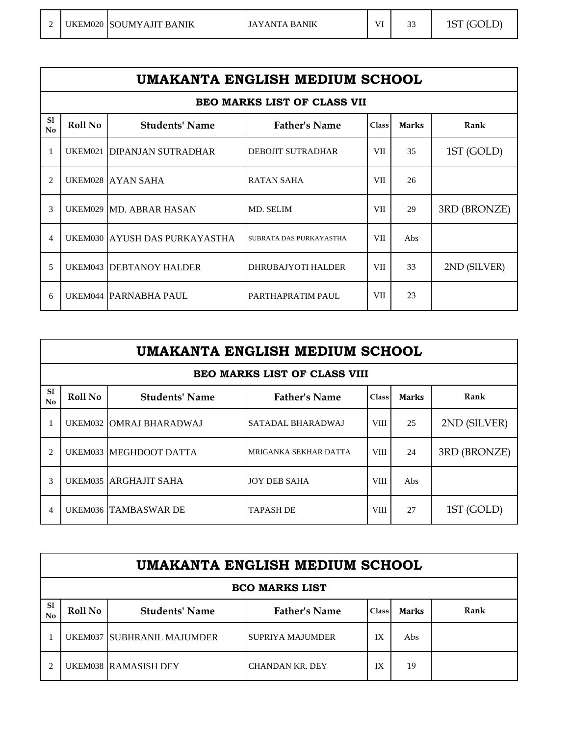|  | UKEM020 SOUMYAJIT BANIK | JAYANTA BANIK | VI | $\sim$<br>ت ب | 1ST (GOLD) |
|--|-------------------------|---------------|----|---------------|------------|
|  |                         |               |    |               |            |

| UMAKANTA ENGLISH MEDIUM SCHOOL     |                |                                |                          |            |              |              |  |
|------------------------------------|----------------|--------------------------------|--------------------------|------------|--------------|--------------|--|
| <b>BEO MARKS LIST OF CLASS VII</b> |                |                                |                          |            |              |              |  |
| S1<br>No                           | <b>Roll No</b> | <b>Students' Name</b>          | <b>Father's Name</b>     | Class      | <b>Marks</b> | Rank         |  |
| $\mathbf{1}$                       | UKEM021        | <b>DIPANJAN SUTRADHAR</b>      | <b>DEBOJIT SUTRADHAR</b> | <b>VII</b> | 35           | 1ST (GOLD)   |  |
| $\overline{2}$                     |                | UKEM028 AYAN SAHA              | RATAN SAHA               | <b>VII</b> | 26           |              |  |
| $\mathcal{R}$                      |                | UKEM029 MD. ABRAR HASAN        | MD. SELIM                | VII        | 29           | 3RD (BRONZE) |  |
| $\overline{4}$                     |                | UKEM030 AYUSH DAS PURKAYASTHA  | SUBRATA DAS PURKAYASTHA  | <b>VII</b> | Abs          |              |  |
| 5                                  |                | <b>UKEM043 DEBTANOY HALDER</b> | DHRUBAJYOTI HALDER       | VII.       | 33           | 2ND (SILVER) |  |
| 6                                  |                | UKEM044 PARNABHA PAUL          | PARTHAPRATIM PAUL        | <b>VII</b> | 23           |              |  |

|                                     | UMAKANTA ENGLISH MEDIUM SCHOOL |                             |                       |              |              |              |  |
|-------------------------------------|--------------------------------|-----------------------------|-----------------------|--------------|--------------|--------------|--|
| <b>BEO MARKS LIST OF CLASS VIII</b> |                                |                             |                       |              |              |              |  |
| <sub>S1</sub><br>No                 | Roll No                        | <b>Students' Name</b>       | <b>Father's Name</b>  | <b>Class</b> | <b>Marks</b> | Rank         |  |
|                                     |                                | UKEM032 OMRAJ BHARADWAJ     | SATADAL BHARADWAJ     | <b>VIII</b>  | 25           | 2ND (SILVER) |  |
| $\mathcal{D}_{\mathcal{L}}$         |                                | UKEM033 MEGHDOOT DATTA      | MRIGANKA SEKHAR DATTA | <b>VIII</b>  | 24           | 3RD (BRONZE) |  |
| 3                                   |                                | UKEM035 ARGHAJIT SAHA       | <b>JOY DEB SAHA</b>   | <b>VIII</b>  | Abs          |              |  |
| $\overline{4}$                      |                                | <b>UKEM036 TAMBASWAR DE</b> | <b>TAPASH DE</b>      | <b>VIII</b>  | 27           | 1ST (GOLD)   |  |

|                       | UMAKANTA ENGLISH MEDIUM SCHOOL |                                   |                      |              |              |      |  |  |
|-----------------------|--------------------------------|-----------------------------------|----------------------|--------------|--------------|------|--|--|
| <b>BCO MARKS LIST</b> |                                |                                   |                      |              |              |      |  |  |
| S1<br>No              | Roll No                        | <b>Students' Name</b>             | <b>Father's Name</b> | <b>Class</b> | <b>Marks</b> | Rank |  |  |
|                       |                                | <b>UKEM037 SUBHRANIL MAJUMDER</b> | ISUPRIYA MAJUMDER    | IX           | Abs          |      |  |  |
|                       |                                | UKEM038 RAMASISH DEY              | CHANDAN KR. DEY      | IX           | 19           |      |  |  |